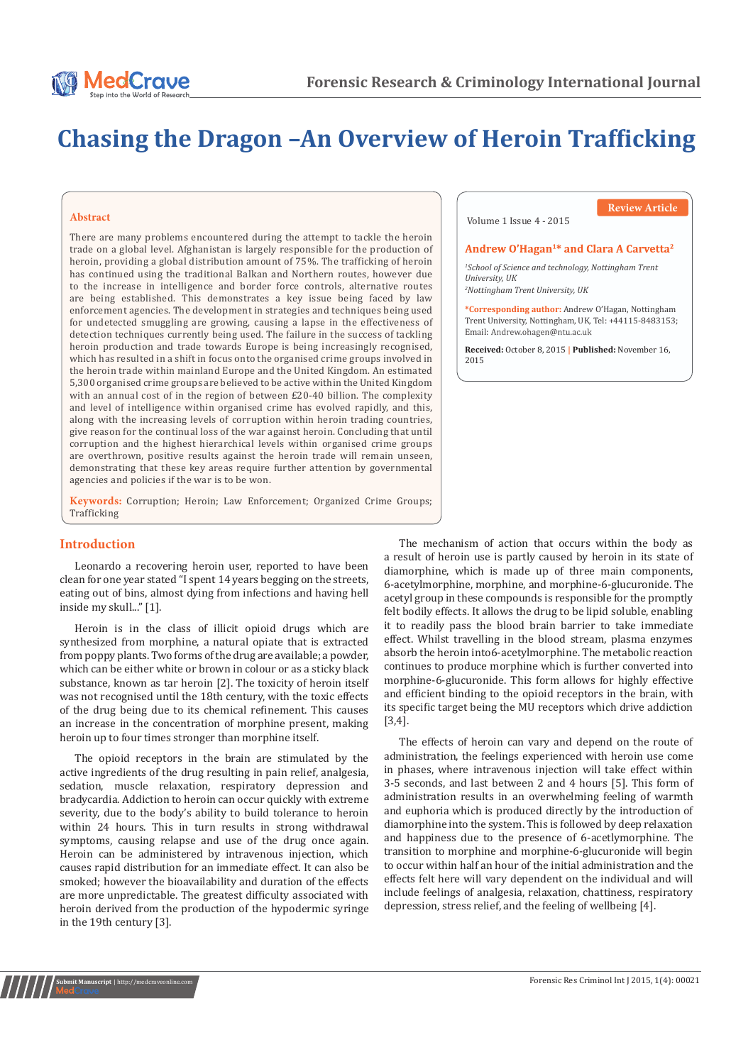

# **Chasing the Dragon –An Overview of Heroin Trafficking**

#### **Abstract**

There are many problems encountered during the attempt to tackle the heroin trade on a global level. Afghanistan is largely responsible for the production of heroin, providing a global distribution amount of 75%. The trafficking of heroin has continued using the traditional Balkan and Northern routes, however due to the increase in intelligence and border force controls, alternative routes are being established. This demonstrates a key issue being faced by law enforcement agencies. The development in strategies and techniques being used for undetected smuggling are growing, causing a lapse in the effectiveness of detection techniques currently being used. The failure in the success of tackling heroin production and trade towards Europe is being increasingly recognised, which has resulted in a shift in focus onto the organised crime groups involved in the heroin trade within mainland Europe and the United Kingdom. An estimated 5,300 organised crime groups are believed to be active within the United Kingdom with an annual cost of in the region of between £20-40 billion. The complexity and level of intelligence within organised crime has evolved rapidly, and this, along with the increasing levels of corruption within heroin trading countries, give reason for the continual loss of the war against heroin. Concluding that until corruption and the highest hierarchical levels within organised crime groups are overthrown, positive results against the heroin trade will remain unseen, demonstrating that these key areas require further attention by governmental agencies and policies if the war is to be won.

**Keywords:** Corruption; Heroin; Law Enforcement; Organized Crime Groups; Trafficking

## **Introduction**

Leonardo a recovering heroin user, reported to have been clean for one year stated "I spent 14 years begging on the streets, eating out of bins, almost dying from infections and having hell inside my skull..." [1].

Heroin is in the class of illicit opioid drugs which are synthesized from morphine, a natural opiate that is extracted from poppy plants. Two forms of the drug are available; a powder, which can be either white or brown in colour or as a sticky black substance, known as tar heroin [2]. The toxicity of heroin itself was not recognised until the 18th century, with the toxic effects of the drug being due to its chemical refinement. This causes an increase in the concentration of morphine present, making heroin up to four times stronger than morphine itself.

The opioid receptors in the brain are stimulated by the active ingredients of the drug resulting in pain relief, analgesia, sedation, muscle relaxation, respiratory depression and bradycardia. Addiction to heroin can occur quickly with extreme severity, due to the body's ability to build tolerance to heroin within 24 hours. This in turn results in strong withdrawal symptoms, causing relapse and use of the drug once again. Heroin can be administered by intravenous injection, which causes rapid distribution for an immediate effect. It can also be smoked; however the bioavailability and duration of the effects are more unpredictable. The greatest difficulty associated with heroin derived from the production of the hypodermic syringe in the 19th century [3].

## Volume 1 Issue 4 - 2015

#### Andrew O'Hagan<sup>1\*</sup> and Clara A Carvetta<sup>2</sup>

**Review Article**

*1 School of Science and technology, Nottingham Trent University, UK*

*2 Nottingham Trent University, UK*

**\*Corresponding author:** Andrew O'Hagan, Nottingham Trent University, Nottingham, UK, Tel: +44115-8483153; Email: Andrew.ohagen@ntu.ac.uk

**Received:** October 8, 2015 **| Published:** November 16, 2015

The mechanism of action that occurs within the body as a result of heroin use is partly caused by heroin in its state of diamorphine, which is made up of three main components, 6-acetylmorphine, morphine, and morphine-6-glucuronide. The acetyl group in these compounds is responsible for the promptly felt bodily effects. It allows the drug to be lipid soluble, enabling it to readily pass the blood brain barrier to take immediate effect. Whilst travelling in the blood stream, plasma enzymes absorb the heroin into6-acetylmorphine. The metabolic reaction continues to produce morphine which is further converted into morphine-6-glucuronide. This form allows for highly effective and efficient binding to the opioid receptors in the brain, with its specific target being the MU receptors which drive addiction [3,4].

The effects of heroin can vary and depend on the route of administration, the feelings experienced with heroin use come in phases, where intravenous injection will take effect within 3-5 seconds, and last between 2 and 4 hours [5]. This form of administration results in an overwhelming feeling of warmth and euphoria which is produced directly by the introduction of diamorphine into the system. This is followed by deep relaxation and happiness due to the presence of 6-acetlymorphine. The transition to morphine and morphine-6-glucuronide will begin to occur within half an hour of the initial administration and the effects felt here will vary dependent on the individual and will include feelings of analgesia, relaxation, chattiness, respiratory depression, stress relief, and the feeling of wellbeing [4].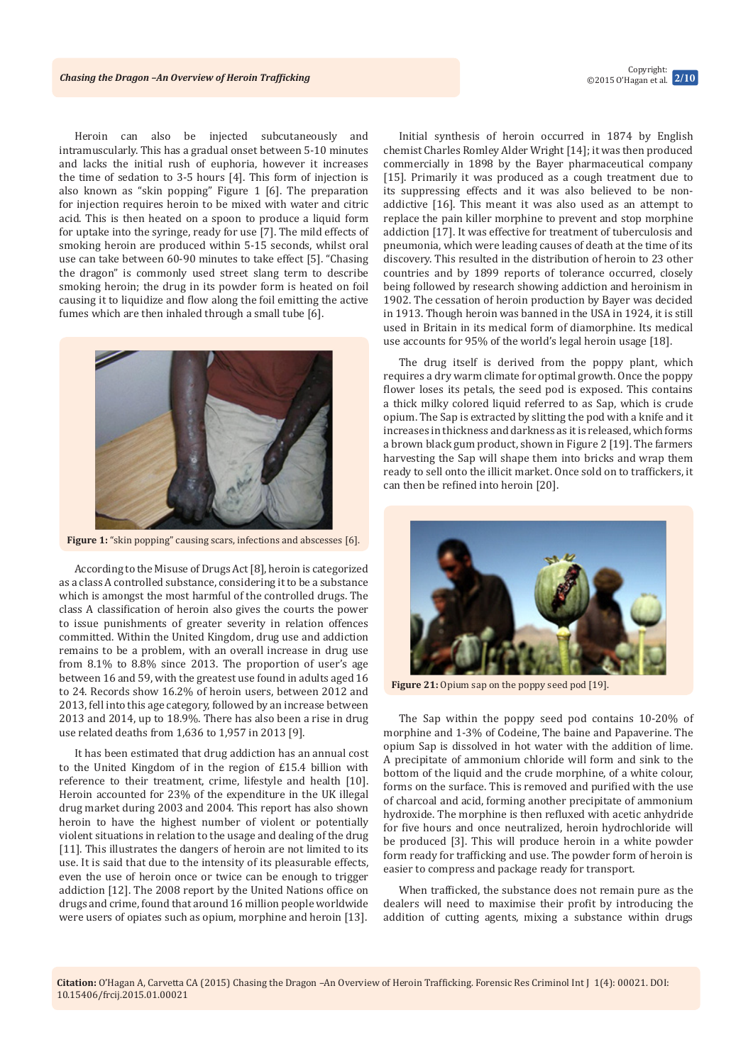

Heroin can also be injected subcutaneously and intramuscularly. This has a gradual onset between 5-10 minutes and lacks the initial rush of euphoria, however it increases the time of sedation to 3-5 hours [4]. This form of injection is also known as "skin popping" Figure 1 [6]. The preparation for injection requires heroin to be mixed with water and citric acid. This is then heated on a spoon to produce a liquid form for uptake into the syringe, ready for use [7]. The mild effects of smoking heroin are produced within 5-15 seconds, whilst oral use can take between 60-90 minutes to take effect [5]. "Chasing the dragon" is commonly used street slang term to describe smoking heroin; the drug in its powder form is heated on foil causing it to liquidize and flow along the foil emitting the active fumes which are then inhaled through a small tube [6].



**Figure 1:** "skin popping" causing scars, infections and abscesses [6].

According to the Misuse of Drugs Act [8], heroin is categorized as a class A controlled substance, considering it to be a substance which is amongst the most harmful of the controlled drugs. The class A classification of heroin also gives the courts the power to issue punishments of greater severity in relation offences committed. Within the United Kingdom, drug use and addiction remains to be a problem, with an overall increase in drug use from 8.1% to 8.8% since 2013. The proportion of user's age between 16 and 59, with the greatest use found in adults aged 16 to 24. Records show 16.2% of heroin users, between 2012 and 2013, fell into this age category, followed by an increase between 2013 and 2014, up to 18.9%. There has also been a rise in drug use related deaths from 1,636 to 1,957 in 2013 [9].

It has been estimated that drug addiction has an annual cost to the United Kingdom of in the region of £15.4 billion with reference to their treatment, crime, lifestyle and health [10]. Heroin accounted for 23% of the expenditure in the UK illegal drug market during 2003 and 2004. This report has also shown heroin to have the highest number of violent or potentially violent situations in relation to the usage and dealing of the drug [11]. This illustrates the dangers of heroin are not limited to its use. It is said that due to the intensity of its pleasurable effects, even the use of heroin once or twice can be enough to trigger addiction [12]. The 2008 report by the United Nations office on drugs and crime, found that around 16 million people worldwide were users of opiates such as opium, morphine and heroin [13].

Initial synthesis of heroin occurred in 1874 by English chemist Charles Romley Alder Wright [14]; it was then produced commercially in 1898 by the Bayer pharmaceutical company [15]. Primarily it was produced as a cough treatment due to its suppressing effects and it was also believed to be nonaddictive [16]. This meant it was also used as an attempt to replace the pain killer morphine to prevent and stop morphine addiction [17]. It was effective for treatment of tuberculosis and pneumonia, which were leading causes of death at the time of its discovery. This resulted in the distribution of heroin to 23 other countries and by 1899 reports of tolerance occurred, closely being followed by research showing addiction and heroinism in 1902. The cessation of heroin production by Bayer was decided in 1913. Though heroin was banned in the USA in 1924, it is still used in Britain in its medical form of diamorphine. Its medical use accounts for 95% of the world's legal heroin usage [18].

The drug itself is derived from the poppy plant, which requires a dry warm climate for optimal growth. Once the poppy flower loses its petals, the seed pod is exposed. This contains a thick milky colored liquid referred to as Sap, which is crude opium. The Sap is extracted by slitting the pod with a knife and it increases in thickness and darkness as it is released, which forms a brown black gum product, shown in Figure 2 [19]. The farmers harvesting the Sap will shape them into bricks and wrap them ready to sell onto the illicit market. Once sold on to traffickers, it can then be refined into heroin [20].



**Figure 21:** Opium sap on the poppy seed pod [19].

The Sap within the poppy seed pod contains 10-20% of morphine and 1-3% of Codeine, The baine and Papaverine. The opium Sap is dissolved in hot water with the addition of lime. A precipitate of ammonium chloride will form and sink to the bottom of the liquid and the crude morphine, of a white colour, forms on the surface. This is removed and purified with the use of charcoal and acid, forming another precipitate of ammonium hydroxide. The morphine is then refluxed with acetic anhydride for five hours and once neutralized, heroin hydrochloride will be produced [3]. This will produce heroin in a white powder form ready for trafficking and use. The powder form of heroin is easier to compress and package ready for transport.

When trafficked, the substance does not remain pure as the dealers will need to maximise their profit by introducing the addition of cutting agents, mixing a substance within drugs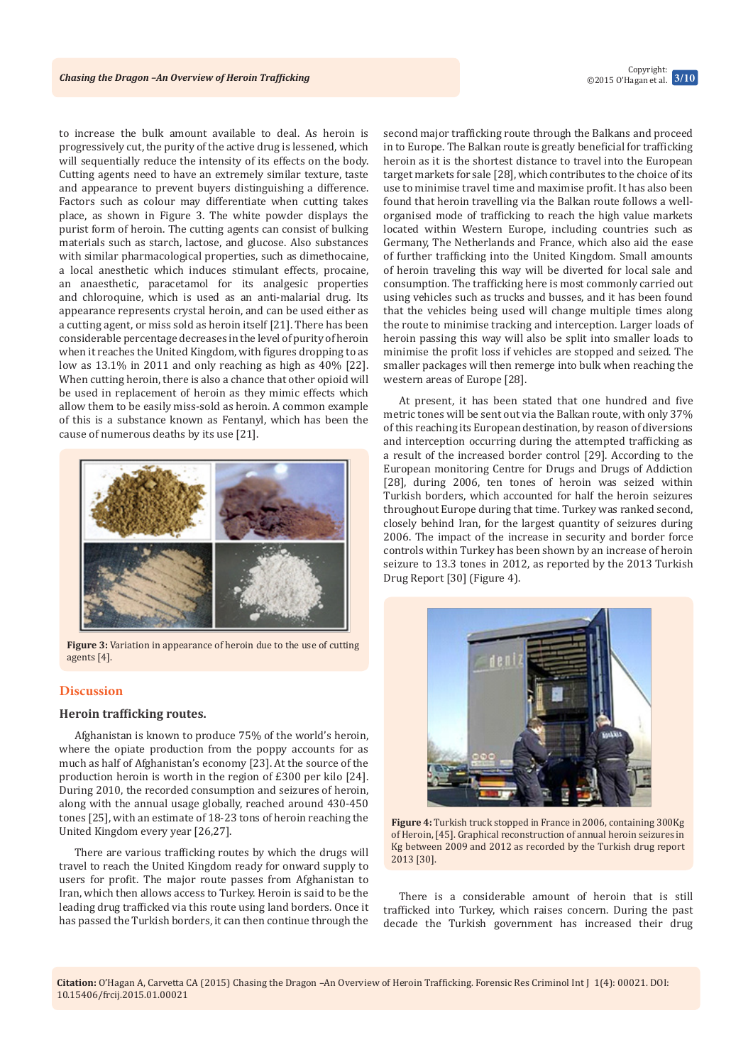to increase the bulk amount available to deal. As heroin is progressively cut, the purity of the active drug is lessened, which will sequentially reduce the intensity of its effects on the body. Cutting agents need to have an extremely similar texture, taste and appearance to prevent buyers distinguishing a difference. Factors such as colour may differentiate when cutting takes place, as shown in Figure 3. The white powder displays the purist form of heroin. The cutting agents can consist of bulking materials such as starch, lactose, and glucose. Also substances with similar pharmacological properties, such as dimethocaine, a local anesthetic which induces stimulant effects, procaine, an anaesthetic, paracetamol for its analgesic properties and chloroquine, which is used as an anti-malarial drug. Its appearance represents crystal heroin, and can be used either as a cutting agent, or miss sold as heroin itself [21]. There has been considerable percentage decreases in the level of purity of heroin when it reaches the United Kingdom, with figures dropping to as low as 13.1% in 2011 and only reaching as high as 40% [22]. When cutting heroin, there is also a chance that other opioid will be used in replacement of heroin as they mimic effects which allow them to be easily miss-sold as heroin. A common example of this is a substance known as Fentanyl, which has been the cause of numerous deaths by its use [21].



**Figure 3:** Variation in appearance of heroin due to the use of cutting agents [4].

#### **Discussion**

## **Heroin trafficking routes.**

Afghanistan is known to produce 75% of the world's heroin, where the opiate production from the poppy accounts for as much as half of Afghanistan's economy [23]. At the source of the production heroin is worth in the region of £300 per kilo [24]. During 2010, the recorded consumption and seizures of heroin, along with the annual usage globally, reached around 430-450 tones [25], with an estimate of 18-23 tons of heroin reaching the United Kingdom every year [26,27].

There are various trafficking routes by which the drugs will travel to reach the United Kingdom ready for onward supply to users for profit. The major route passes from Afghanistan to Iran, which then allows access to Turkey. Heroin is said to be the leading drug trafficked via this route using land borders. Once it has passed the Turkish borders, it can then continue through the second major trafficking route through the Balkans and proceed in to Europe. The Balkan route is greatly beneficial for trafficking heroin as it is the shortest distance to travel into the European target markets for sale [28], which contributes to the choice of its use to minimise travel time and maximise profit. It has also been found that heroin travelling via the Balkan route follows a wellorganised mode of trafficking to reach the high value markets located within Western Europe, including countries such as Germany, The Netherlands and France, which also aid the ease of further trafficking into the United Kingdom. Small amounts of heroin traveling this way will be diverted for local sale and consumption. The trafficking here is most commonly carried out using vehicles such as trucks and busses, and it has been found that the vehicles being used will change multiple times along the route to minimise tracking and interception. Larger loads of heroin passing this way will also be split into smaller loads to minimise the profit loss if vehicles are stopped and seized. The smaller packages will then remerge into bulk when reaching the western areas of Europe [28].

At present, it has been stated that one hundred and five metric tones will be sent out via the Balkan route, with only 37% of this reaching its European destination, by reason of diversions and interception occurring during the attempted trafficking as a result of the increased border control [29]. According to the European monitoring Centre for Drugs and Drugs of Addiction [28], during 2006, ten tones of heroin was seized within Turkish borders, which accounted for half the heroin seizures throughout Europe during that time. Turkey was ranked second, closely behind Iran, for the largest quantity of seizures during 2006. The impact of the increase in security and border force controls within Turkey has been shown by an increase of heroin seizure to 13.3 tones in 2012, as reported by the 2013 Turkish Drug Report [30] (Figure 4).



**Figure 4:** Turkish truck stopped in France in 2006, containing 300Kg of Heroin, [45]. Graphical reconstruction of annual heroin seizures in Kg between 2009 and 2012 as recorded by the Turkish drug report 2013 [30].

There is a considerable amount of heroin that is still trafficked into Turkey, which raises concern. During the past decade the Turkish government has increased their drug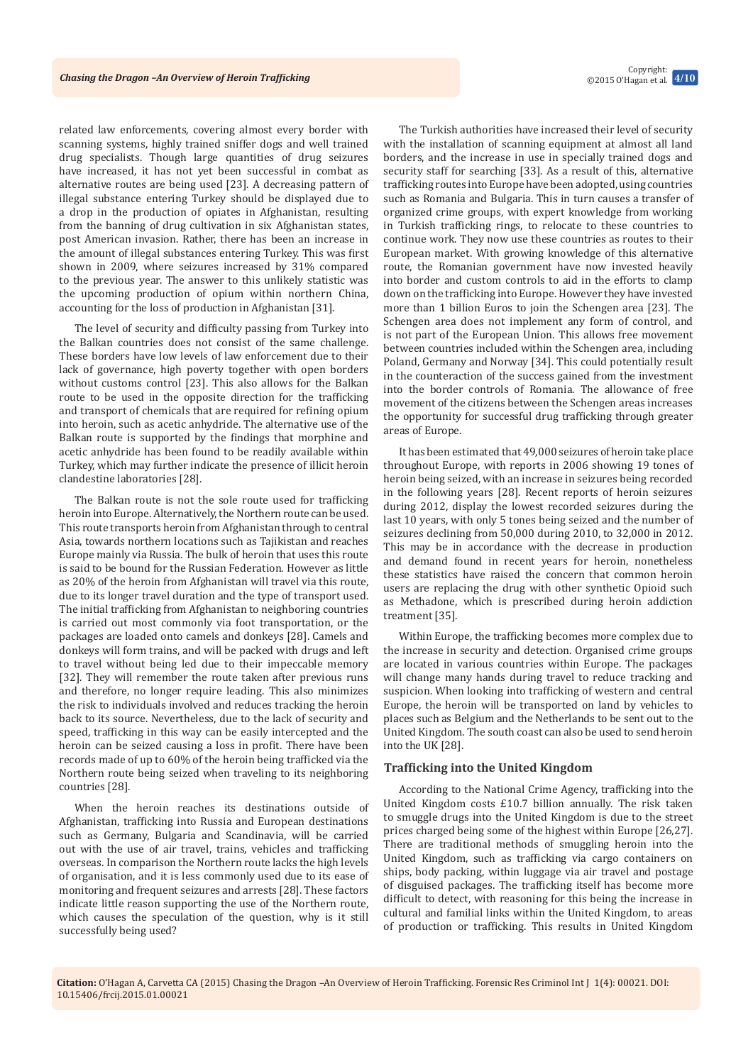related law enforcements, covering almost every border with scanning systems, highly trained sniffer dogs and well trained drug specialists. Though large quantities of drug seizures have increased, it has not yet been successful in combat as alternative routes are being used [23]. A decreasing pattern of illegal substance entering Turkey should be displayed due to a drop in the production of opiates in Afghanistan, resulting from the banning of drug cultivation in six Afghanistan states, post American invasion. Rather, there has been an increase in the amount of illegal substances entering Turkey. This was first shown in 2009, where seizures increased by 31% compared to the previous year. The answer to this unlikely statistic was the upcoming production of opium within northern China, accounting for the loss of production in Afghanistan [31].

The level of security and difficulty passing from Turkey into the Balkan countries does not consist of the same challenge. These borders have low levels of law enforcement due to their lack of governance, high poverty together with open borders without customs control [23]. This also allows for the Balkan route to be used in the opposite direction for the trafficking and transport of chemicals that are required for refining opium into heroin, such as acetic anhydride. The alternative use of the Balkan route is supported by the findings that morphine and acetic anhydride has been found to be readily available within Turkey, which may further indicate the presence of illicit heroin clandestine laboratories [28].

The Balkan route is not the sole route used for trafficking heroin into Europe. Alternatively, the Northern route can be used. This route transports heroin from Afghanistan through to central Asia, towards northern locations such as Tajikistan and reaches Europe mainly via Russia. The bulk of heroin that uses this route is said to be bound for the Russian Federation. However as little as 20% of the heroin from Afghanistan will travel via this route, due to its longer travel duration and the type of transport used. The initial trafficking from Afghanistan to neighboring countries is carried out most commonly via foot transportation, or the packages are loaded onto camels and donkeys [28]. Camels and donkeys will form trains, and will be packed with drugs and left to travel without being led due to their impeccable memory [32]. They will remember the route taken after previous runs and therefore, no longer require leading. This also minimizes the risk to individuals involved and reduces tracking the heroin back to its source. Nevertheless, due to the lack of security and speed, trafficking in this way can be easily intercepted and the heroin can be seized causing a loss in profit. There have been records made of up to 60% of the heroin being trafficked via the Northern route being seized when traveling to its neighboring countries [28].

When the heroin reaches its destinations outside of Afghanistan, trafficking into Russia and European destinations such as Germany, Bulgaria and Scandinavia, will be carried out with the use of air travel, trains, vehicles and trafficking overseas. In comparison the Northern route lacks the high levels of organisation, and it is less commonly used due to its ease of monitoring and frequent seizures and arrests [28]. These factors indicate little reason supporting the use of the Northern route, which causes the speculation of the question, why is it still successfully being used?

The Turkish authorities have increased their level of security with the installation of scanning equipment at almost all land borders, and the increase in use in specially trained dogs and security staff for searching [33]. As a result of this, alternative trafficking routes into Europe have been adopted, using countries such as Romania and Bulgaria. This in turn causes a transfer of organized crime groups, with expert knowledge from working in Turkish trafficking rings, to relocate to these countries to continue work. They now use these countries as routes to their European market. With growing knowledge of this alternative route, the Romanian government have now invested heavily into border and custom controls to aid in the efforts to clamp down on the trafficking into Europe. However they have invested more than 1 billion Euros to join the Schengen area [23]. The Schengen area does not implement any form of control, and is not part of the European Union. This allows free movement between countries included within the Schengen area, including Poland, Germany and Norway [34]. This could potentially result in the counteraction of the success gained from the investment into the border controls of Romania. The allowance of free movement of the citizens between the Schengen areas increases the opportunity for successful drug trafficking through greater areas of Europe.

It has been estimated that 49,000 seizures of heroin take place throughout Europe, with reports in 2006 showing 19 tones of heroin being seized, with an increase in seizures being recorded in the following years [28]. Recent reports of heroin seizures during 2012, display the lowest recorded seizures during the last 10 years, with only 5 tones being seized and the number of seizures declining from 50,000 during 2010, to 32,000 in 2012. This may be in accordance with the decrease in production and demand found in recent years for heroin, nonetheless these statistics have raised the concern that common heroin users are replacing the drug with other synthetic Opioid such as Methadone, which is prescribed during heroin addiction treatment [35].

Within Europe, the trafficking becomes more complex due to the increase in security and detection. Organised crime groups are located in various countries within Europe. The packages will change many hands during travel to reduce tracking and suspicion. When looking into trafficking of western and central Europe, the heroin will be transported on land by vehicles to places such as Belgium and the Netherlands to be sent out to the United Kingdom. The south coast can also be used to send heroin into the UK [28].

#### **Trafficking into the United Kingdom**

According to the National Crime Agency, trafficking into the United Kingdom costs £10.7 billion annually. The risk taken to smuggle drugs into the United Kingdom is due to the street prices charged being some of the highest within Europe [26,27]. There are traditional methods of smuggling heroin into the United Kingdom, such as trafficking via cargo containers on ships, body packing, within luggage via air travel and postage of disguised packages. The trafficking itself has become more difficult to detect, with reasoning for this being the increase in cultural and familial links within the United Kingdom, to areas of production or trafficking. This results in United Kingdom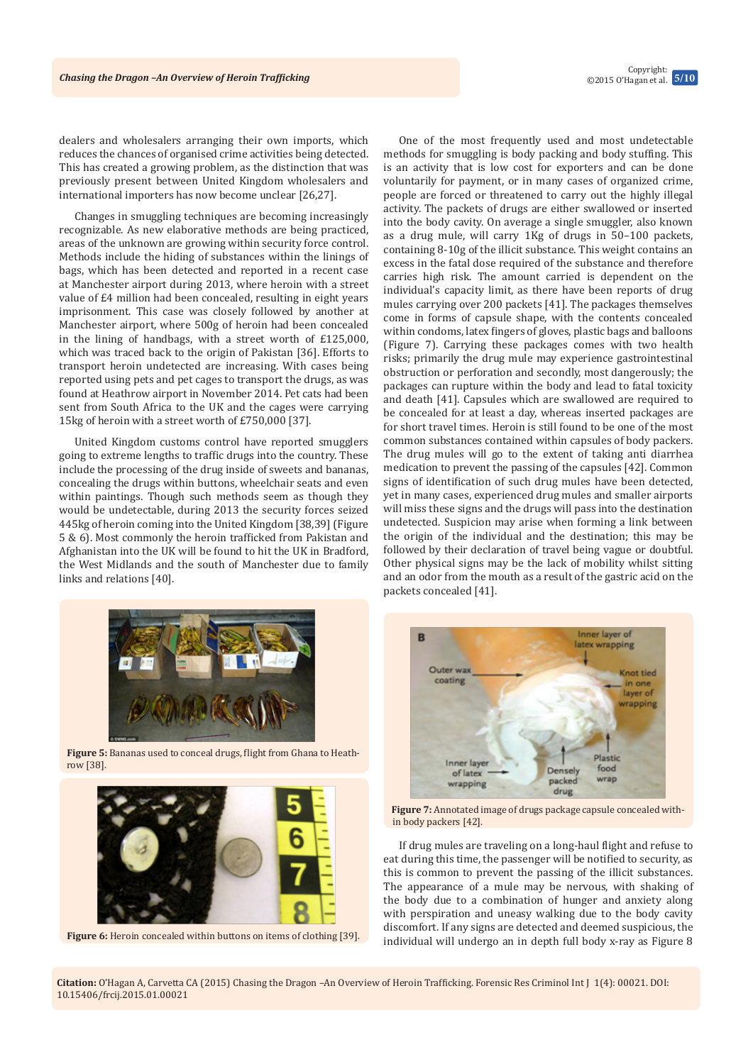dealers and wholesalers arranging their own imports, which reduces the chances of organised crime activities being detected. This has created a growing problem, as the distinction that was previously present between United Kingdom wholesalers and international importers has now become unclear [26,27].

Changes in smuggling techniques are becoming increasingly recognizable. As new elaborative methods are being practiced, areas of the unknown are growing within security force control. Methods include the hiding of substances within the linings of bags, which has been detected and reported in a recent case at Manchester airport during 2013, where heroin with a street value of £4 million had been concealed, resulting in eight years imprisonment. This case was closely followed by another at Manchester airport, where 500g of heroin had been concealed in the lining of handbags, with a street worth of £125,000, which was traced back to the origin of Pakistan [36]. Efforts to transport heroin undetected are increasing. With cases being reported using pets and pet cages to transport the drugs, as was found at Heathrow airport in November 2014. Pet cats had been sent from South Africa to the UK and the cages were carrying 15kg of heroin with a street worth of £750,000 [37].

United Kingdom customs control have reported smugglers going to extreme lengths to traffic drugs into the country. These include the processing of the drug inside of sweets and bananas, concealing the drugs within buttons, wheelchair seats and even within paintings. Though such methods seem as though they would be undetectable, during 2013 the security forces seized 445kg of heroin coming into the United Kingdom [38,39] (Figure 5 & 6). Most commonly the heroin trafficked from Pakistan and Afghanistan into the UK will be found to hit the UK in Bradford, the West Midlands and the south of Manchester due to family links and relations [40].

One of the most frequently used and most undetectable methods for smuggling is body packing and body stuffing. This is an activity that is low cost for exporters and can be done voluntarily for payment, or in many cases of organized crime, people are forced or threatened to carry out the highly illegal activity. The packets of drugs are either swallowed or inserted into the body cavity. On average a single smuggler, also known as a drug mule, will carry 1Kg of drugs in 50–100 packets, containing 8-10g of the illicit substance. This weight contains an excess in the fatal dose required of the substance and therefore carries high risk. The amount carried is dependent on the individual's capacity limit, as there have been reports of drug mules carrying over 200 packets [41]. The packages themselves come in forms of capsule shape, with the contents concealed within condoms, latex fingers of gloves, plastic bags and balloons (Figure 7). Carrying these packages comes with two health risks; primarily the drug mule may experience gastrointestinal obstruction or perforation and secondly, most dangerously; the packages can rupture within the body and lead to fatal toxicity and death [41]. Capsules which are swallowed are required to be concealed for at least a day, whereas inserted packages are for short travel times. Heroin is still found to be one of the most common substances contained within capsules of body packers. The drug mules will go to the extent of taking anti diarrhea medication to prevent the passing of the capsules [42]. Common signs of identification of such drug mules have been detected, yet in many cases, experienced drug mules and smaller airports will miss these signs and the drugs will pass into the destination undetected. Suspicion may arise when forming a link between the origin of the individual and the destination; this may be followed by their declaration of travel being vague or doubtful. Other physical signs may be the lack of mobility whilst sitting and an odor from the mouth as a result of the gastric acid on the packets concealed [41].

©2015 O'Hagan et al. **5/10**



**Figure 5:** Bananas used to conceal drugs, flight from Ghana to Heathrow [38].



**Figure 6:** Heroin concealed within buttons on items of clothing [39].



**Figure 7:** Annotated image of drugs package capsule concealed within body packers [42].

If drug mules are traveling on a long-haul flight and refuse to eat during this time, the passenger will be notified to security, as this is common to prevent the passing of the illicit substances. The appearance of a mule may be nervous, with shaking of the body due to a combination of hunger and anxiety along with perspiration and uneasy walking due to the body cavity discomfort. If any signs are detected and deemed suspicious, the individual will undergo an in depth full body x-ray as Figure 8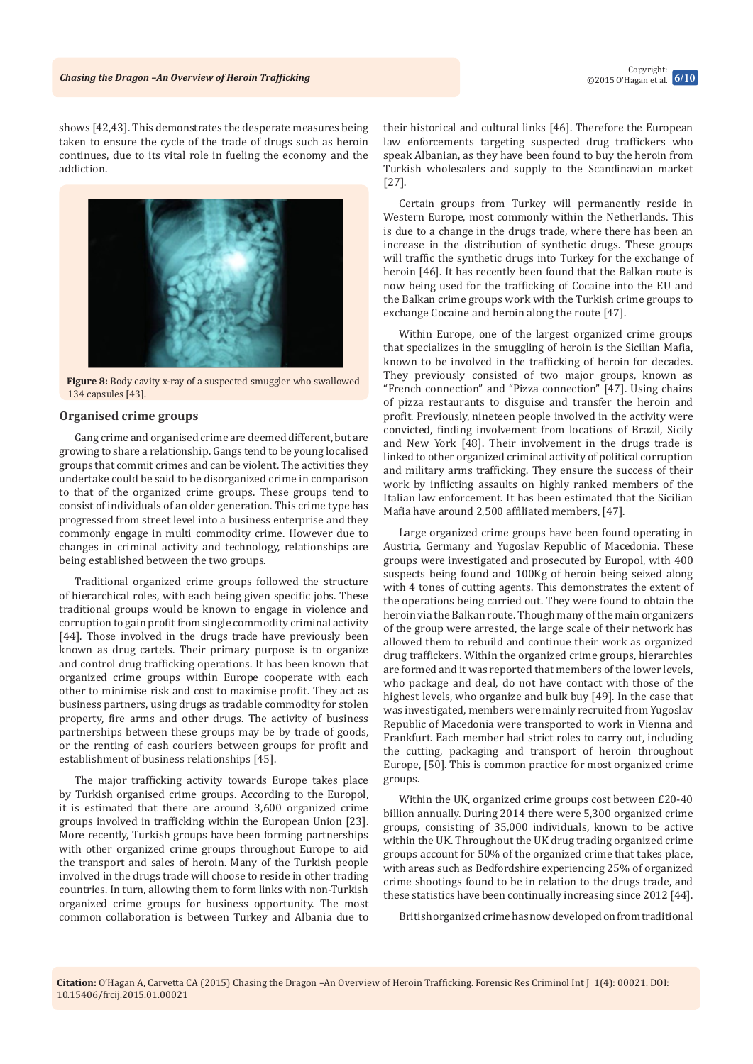shows [42,43]. This demonstrates the desperate measures being taken to ensure the cycle of the trade of drugs such as heroin continues, due to its vital role in fueling the economy and the addiction.



**Figure 8:** Body cavity x-ray of a suspected smuggler who swallowed 134 capsules [43].

## **Organised crime groups**

Gang crime and organised crime are deemed different, but are growing to share a relationship. Gangs tend to be young localised groups that commit crimes and can be violent. The activities they undertake could be said to be disorganized crime in comparison to that of the organized crime groups. These groups tend to consist of individuals of an older generation. This crime type has progressed from street level into a business enterprise and they commonly engage in multi commodity crime. However due to changes in criminal activity and technology, relationships are being established between the two groups.

Traditional organized crime groups followed the structure of hierarchical roles, with each being given specific jobs. These traditional groups would be known to engage in violence and corruption to gain profit from single commodity criminal activity [44]. Those involved in the drugs trade have previously been known as drug cartels. Their primary purpose is to organize and control drug trafficking operations. It has been known that organized crime groups within Europe cooperate with each other to minimise risk and cost to maximise profit. They act as business partners, using drugs as tradable commodity for stolen property, fire arms and other drugs. The activity of business partnerships between these groups may be by trade of goods, or the renting of cash couriers between groups for profit and establishment of business relationships [45].

The major trafficking activity towards Europe takes place by Turkish organised crime groups. According to the Europol, it is estimated that there are around 3,600 organized crime groups involved in trafficking within the European Union [23]. More recently, Turkish groups have been forming partnerships with other organized crime groups throughout Europe to aid the transport and sales of heroin. Many of the Turkish people involved in the drugs trade will choose to reside in other trading countries. In turn, allowing them to form links with non-Turkish organized crime groups for business opportunity. The most common collaboration is between Turkey and Albania due to

their historical and cultural links [46]. Therefore the European law enforcements targeting suspected drug traffickers who speak Albanian, as they have been found to buy the heroin from Turkish wholesalers and supply to the Scandinavian market [27].

Certain groups from Turkey will permanently reside in Western Europe, most commonly within the Netherlands. This is due to a change in the drugs trade, where there has been an increase in the distribution of synthetic drugs. These groups will traffic the synthetic drugs into Turkey for the exchange of heroin [46]. It has recently been found that the Balkan route is now being used for the trafficking of Cocaine into the EU and the Balkan crime groups work with the Turkish crime groups to exchange Cocaine and heroin along the route [47].

Within Europe, one of the largest organized crime groups that specializes in the smuggling of heroin is the Sicilian Mafia, known to be involved in the trafficking of heroin for decades. They previously consisted of two major groups, known as "French connection" and "Pizza connection" [47]. Using chains of pizza restaurants to disguise and transfer the heroin and profit. Previously, nineteen people involved in the activity were convicted, finding involvement from locations of Brazil, Sicily and New York [48]. Their involvement in the drugs trade is linked to other organized criminal activity of political corruption and military arms trafficking. They ensure the success of their work by inflicting assaults on highly ranked members of the Italian law enforcement. It has been estimated that the Sicilian Mafia have around 2,500 affiliated members, [47].

Large organized crime groups have been found operating in Austria, Germany and Yugoslav Republic of Macedonia. These groups were investigated and prosecuted by Europol, with 400 suspects being found and 100Kg of heroin being seized along with 4 tones of cutting agents. This demonstrates the extent of the operations being carried out. They were found to obtain the heroin via the Balkan route. Though many of the main organizers of the group were arrested, the large scale of their network has allowed them to rebuild and continue their work as organized drug traffickers. Within the organized crime groups, hierarchies are formed and it was reported that members of the lower levels, who package and deal, do not have contact with those of the highest levels, who organize and bulk buy [49]. In the case that was investigated, members were mainly recruited from Yugoslav Republic of Macedonia were transported to work in Vienna and Frankfurt. Each member had strict roles to carry out, including the cutting, packaging and transport of heroin throughout Europe, [50]. This is common practice for most organized crime groups.

Within the UK, organized crime groups cost between £20-40 billion annually. During 2014 there were 5,300 organized crime groups, consisting of 35,000 individuals, known to be active within the UK. Throughout the UK drug trading organized crime groups account for 50% of the organized crime that takes place, with areas such as Bedfordshire experiencing 25% of organized crime shootings found to be in relation to the drugs trade, and these statistics have been continually increasing since 2012 [44].

British organized crime has now developed on from traditional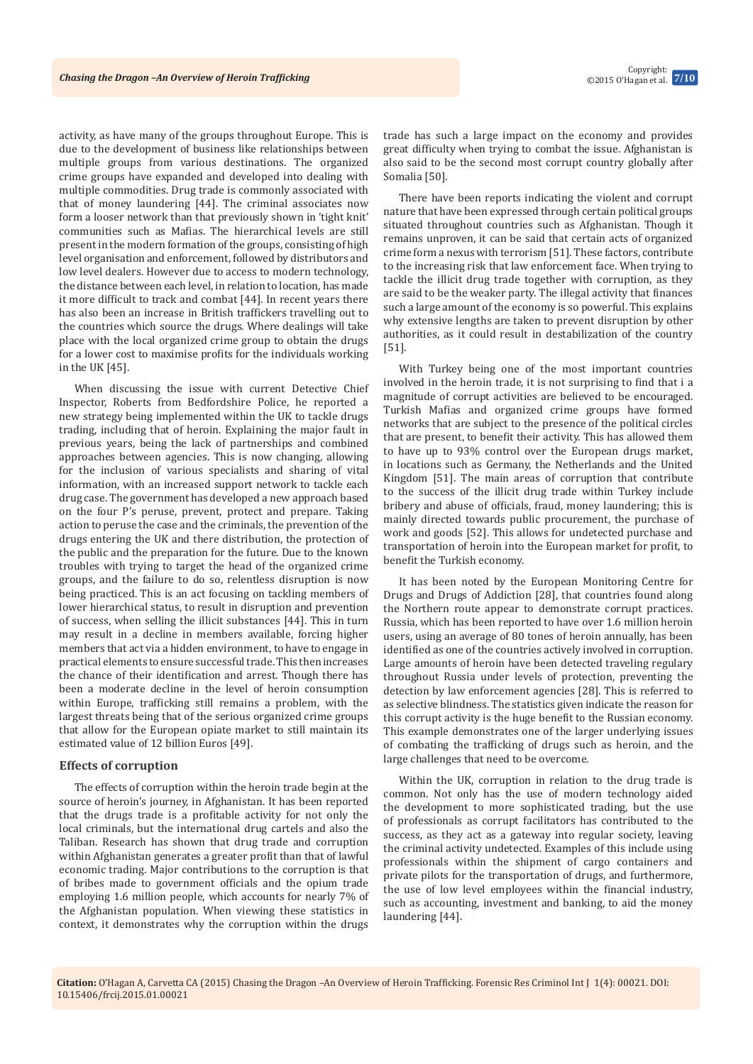activity, as have many of the groups throughout Europe. This is due to the development of business like relationships between multiple groups from various destinations. The organized crime groups have expanded and developed into dealing with multiple commodities. Drug trade is commonly associated with that of money laundering [44]. The criminal associates now form a looser network than that previously shown in 'tight knit' communities such as Mafias. The hierarchical levels are still present in the modern formation of the groups, consisting of high level organisation and enforcement, followed by distributors and low level dealers. However due to access to modern technology, the distance between each level, in relation to location, has made it more difficult to track and combat [44]. In recent years there has also been an increase in British traffickers travelling out to the countries which source the drugs. Where dealings will take place with the local organized crime group to obtain the drugs for a lower cost to maximise profits for the individuals working in the UK [45].

When discussing the issue with current Detective Chief Inspector, Roberts from Bedfordshire Police, he reported a new strategy being implemented within the UK to tackle drugs trading, including that of heroin. Explaining the major fault in previous years, being the lack of partnerships and combined approaches between agencies. This is now changing, allowing for the inclusion of various specialists and sharing of vital information, with an increased support network to tackle each drug case. The government has developed a new approach based on the four P's peruse, prevent, protect and prepare. Taking action to peruse the case and the criminals, the prevention of the drugs entering the UK and there distribution, the protection of the public and the preparation for the future. Due to the known troubles with trying to target the head of the organized crime groups, and the failure to do so, relentless disruption is now being practiced. This is an act focusing on tackling members of lower hierarchical status, to result in disruption and prevention of success, when selling the illicit substances [44]. This in turn may result in a decline in members available, forcing higher members that act via a hidden environment, to have to engage in practical elements to ensure successful trade. This then increases the chance of their identification and arrest. Though there has been a moderate decline in the level of heroin consumption within Europe, trafficking still remains a problem, with the largest threats being that of the serious organized crime groups that allow for the European opiate market to still maintain its estimated value of 12 billion Euros [49].

## **Effects of corruption**

The effects of corruption within the heroin trade begin at the source of heroin's journey, in Afghanistan. It has been reported that the drugs trade is a profitable activity for not only the local criminals, but the international drug cartels and also the Taliban. Research has shown that drug trade and corruption within Afghanistan generates a greater profit than that of lawful economic trading. Major contributions to the corruption is that of bribes made to government officials and the opium trade employing 1.6 million people, which accounts for nearly 7% of the Afghanistan population. When viewing these statistics in context, it demonstrates why the corruption within the drugs

trade has such a large impact on the economy and provides great difficulty when trying to combat the issue. Afghanistan is also said to be the second most corrupt country globally after Somalia [50].

There have been reports indicating the violent and corrupt nature that have been expressed through certain political groups situated throughout countries such as Afghanistan. Though it remains unproven, it can be said that certain acts of organized crime form a nexus with terrorism [51]. These factors, contribute to the increasing risk that law enforcement face. When trying to tackle the illicit drug trade together with corruption, as they are said to be the weaker party. The illegal activity that finances such a large amount of the economy is so powerful. This explains why extensive lengths are taken to prevent disruption by other authorities, as it could result in destabilization of the country [51].

With Turkey being one of the most important countries involved in the heroin trade, it is not surprising to find that i a magnitude of corrupt activities are believed to be encouraged. Turkish Mafias and organized crime groups have formed networks that are subject to the presence of the political circles that are present, to benefit their activity. This has allowed them to have up to 93% control over the European drugs market, in locations such as Germany, the Netherlands and the United Kingdom [51]. The main areas of corruption that contribute to the success of the illicit drug trade within Turkey include bribery and abuse of officials, fraud, money laundering; this is mainly directed towards public procurement, the purchase of work and goods [52]. This allows for undetected purchase and transportation of heroin into the European market for profit, to benefit the Turkish economy.

It has been noted by the European Monitoring Centre for Drugs and Drugs of Addiction [28], that countries found along the Northern route appear to demonstrate corrupt practices. Russia, which has been reported to have over 1.6 million heroin users, using an average of 80 tones of heroin annually, has been identified as one of the countries actively involved in corruption. Large amounts of heroin have been detected traveling regulary throughout Russia under levels of protection, preventing the detection by law enforcement agencies [28]. This is referred to as selective blindness. The statistics given indicate the reason for this corrupt activity is the huge benefit to the Russian economy. This example demonstrates one of the larger underlying issues of combating the trafficking of drugs such as heroin, and the large challenges that need to be overcome.

Within the UK, corruption in relation to the drug trade is common. Not only has the use of modern technology aided the development to more sophisticated trading, but the use of professionals as corrupt facilitators has contributed to the success, as they act as a gateway into regular society, leaving the criminal activity undetected. Examples of this include using professionals within the shipment of cargo containers and private pilots for the transportation of drugs, and furthermore, the use of low level employees within the financial industry, such as accounting, investment and banking, to aid the money laundering [44].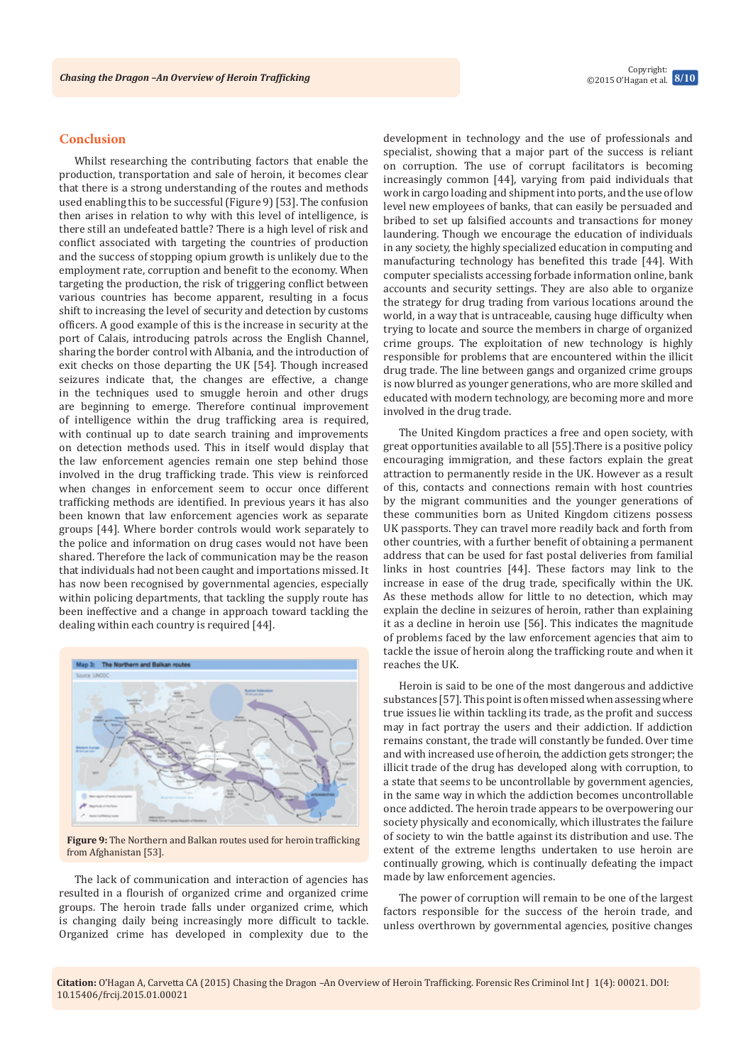#### **Conclusion**

Whilst researching the contributing factors that enable the production, transportation and sale of heroin, it becomes clear that there is a strong understanding of the routes and methods used enabling this to be successful (Figure 9) [53]. The confusion then arises in relation to why with this level of intelligence, is there still an undefeated battle? There is a high level of risk and conflict associated with targeting the countries of production and the success of stopping opium growth is unlikely due to the employment rate, corruption and benefit to the economy. When targeting the production, the risk of triggering conflict between various countries has become apparent, resulting in a focus shift to increasing the level of security and detection by customs officers. A good example of this is the increase in security at the port of Calais, introducing patrols across the English Channel, sharing the border control with Albania, and the introduction of exit checks on those departing the UK [54]. Though increased seizures indicate that, the changes are effective, a change in the techniques used to smuggle heroin and other drugs are beginning to emerge. Therefore continual improvement of intelligence within the drug trafficking area is required, with continual up to date search training and improvements on detection methods used. This in itself would display that the law enforcement agencies remain one step behind those involved in the drug trafficking trade. This view is reinforced when changes in enforcement seem to occur once different trafficking methods are identified. In previous years it has also been known that law enforcement agencies work as separate groups [44]. Where border controls would work separately to the police and information on drug cases would not have been shared. Therefore the lack of communication may be the reason that individuals had not been caught and importations missed. It has now been recognised by governmental agencies, especially within policing departments, that tackling the supply route has been ineffective and a change in approach toward tackling the dealing within each country is required [44].



**Figure 9:** The Northern and Balkan routes used for heroin trafficking from Afghanistan [53].

The lack of communication and interaction of agencies has resulted in a flourish of organized crime and organized crime groups. The heroin trade falls under organized crime, which is changing daily being increasingly more difficult to tackle. Organized crime has developed in complexity due to the

development in technology and the use of professionals and specialist, showing that a major part of the success is reliant on corruption. The use of corrupt facilitators is becoming increasingly common [44], varying from paid individuals that work in cargo loading and shipment into ports, and the use of low level new employees of banks, that can easily be persuaded and bribed to set up falsified accounts and transactions for money laundering. Though we encourage the education of individuals in any society, the highly specialized education in computing and manufacturing technology has benefited this trade [44]. With computer specialists accessing forbade information online, bank accounts and security settings. They are also able to organize the strategy for drug trading from various locations around the world, in a way that is untraceable, causing huge difficulty when trying to locate and source the members in charge of organized crime groups. The exploitation of new technology is highly responsible for problems that are encountered within the illicit drug trade. The line between gangs and organized crime groups is now blurred as younger generations, who are more skilled and educated with modern technology, are becoming more and more involved in the drug trade.

The United Kingdom practices a free and open society, with great opportunities available to all [55].There is a positive policy encouraging immigration, and these factors explain the great attraction to permanently reside in the UK. However as a result of this, contacts and connections remain with host countries by the migrant communities and the younger generations of these communities born as United Kingdom citizens possess UK passports. They can travel more readily back and forth from other countries, with a further benefit of obtaining a permanent address that can be used for fast postal deliveries from familial links in host countries [44]. These factors may link to the increase in ease of the drug trade, specifically within the UK. As these methods allow for little to no detection, which may explain the decline in seizures of heroin, rather than explaining it as a decline in heroin use [56]. This indicates the magnitude of problems faced by the law enforcement agencies that aim to tackle the issue of heroin along the trafficking route and when it reaches the UK.

Heroin is said to be one of the most dangerous and addictive substances [57]. This point is often missed when assessing where true issues lie within tackling its trade, as the profit and success may in fact portray the users and their addiction. If addiction remains constant, the trade will constantly be funded. Over time and with increased use of heroin, the addiction gets stronger; the illicit trade of the drug has developed along with corruption, to a state that seems to be uncontrollable by government agencies, in the same way in which the addiction becomes uncontrollable once addicted. The heroin trade appears to be overpowering our society physically and economically, which illustrates the failure of society to win the battle against its distribution and use. The extent of the extreme lengths undertaken to use heroin are continually growing, which is continually defeating the impact made by law enforcement agencies.

The power of corruption will remain to be one of the largest factors responsible for the success of the heroin trade, and unless overthrown by governmental agencies, positive changes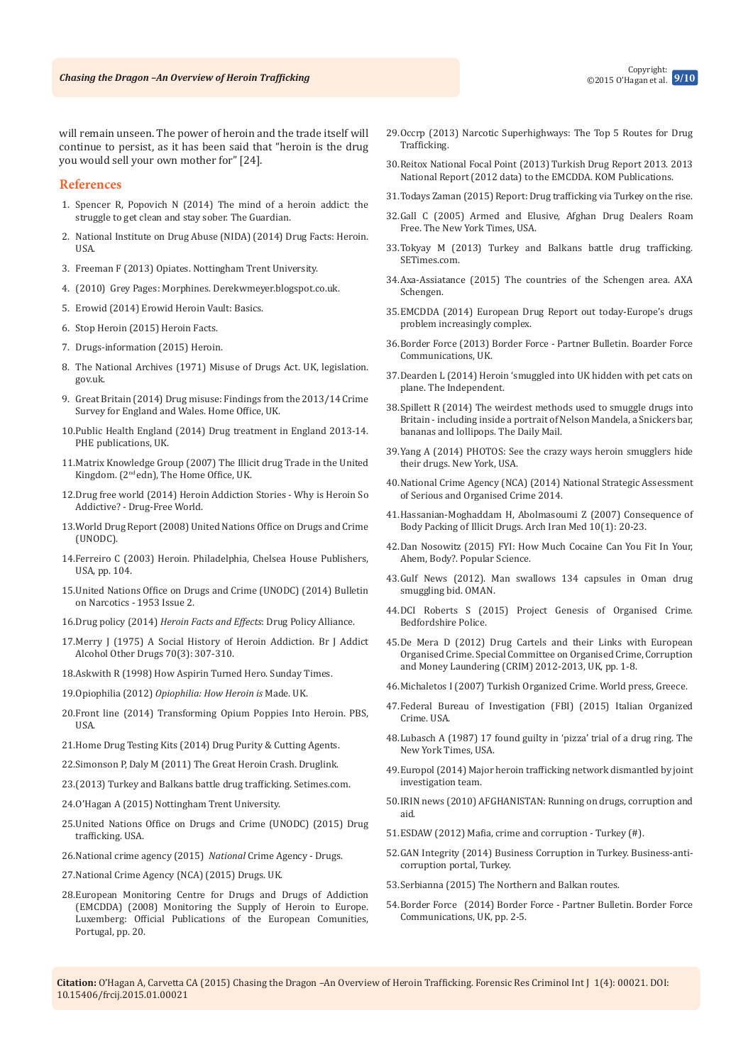

will remain unseen. The power of heroin and the trade itself will continue to persist, as it has been said that "heroin is the drug you would sell your own mother for" [24].

#### **References**

- 1. Spencer R, Popovich N (2014) The mind of a heroin addict: the struggle to get clean and stay sober. The Guardian.
- 2. [National Institute on Drug Abuse \(NIDA\) \(2014\) Drug Facts: Heroin.](http://www.drugabuse.gov/publications/drugfacts/heroin)  **IISA**
- 3. Freeman F (2013) Opiates. Nottingham Trent University.
- 4. [\(2010\) Grey Pages: Morphines. Derekwmeyer.blogspot.co.uk.](http://derekwmeyer.blogspot.co.uk/)
- 5. [Erowid \(2014\) Erowid Heroin Vault: Basics.](https://www.erowid.org/chemicals/heroin/heroin_basics.shtml)
- 6. [Stop Heroin \(2015\) Heroin Facts.](http://www.stopheroin.net/heroinfacts.htm)
- 7. [Drugs-information \(2015\) Heroin.](http://www.drugs-info.co.uk/drugpages/heroin/heroin.html)
- 8. [The National Archives \(1971\) Misuse of Drugs Act. UK, legislation.](http://www.legislation.gov.uk/ukpga/1971/38/contents) [gov.uk.](http://www.legislation.gov.uk/ukpga/1971/38/contents)
- 9. [Great Britain \(2014\) Drug misuse: Findings from the 2013/14 Crime](http://socialwelfare.bl.uk/subject-areas/services-activity/substance-misuse/homeoffice/drug14.aspx)  [Survey for England and Wales. Home Office, UK.](http://socialwelfare.bl.uk/subject-areas/services-activity/substance-misuse/homeoffice/drug14.aspx)
- 10.[Public Health England \(2014\) Drug treatment in England 2013-14.](http://www.nta.nhs.uk/uploads/drug-treatment-in-england-2013-14-commentary.pdf)  [PHE publications, UK.](http://www.nta.nhs.uk/uploads/drug-treatment-in-england-2013-14-commentary.pdf)
- 11.Matrix Knowledge Group (2007) [The Illicit drug Trade in the United](http://www.drugsandalcohol.ie/6375/)  Kingdom. (2<sup>nd</sup> [edn\), The Home Office, UK.](http://www.drugsandalcohol.ie/6375/)
- 12.Drug free world (2014) [Heroin Addiction Stories Why is Heroin So](http://www.drugfreeworld.org/drugfacts/heroin/a-very-slippery-slope.html)  [Addictive? - Drug-Free World.](http://www.drugfreeworld.org/drugfacts/heroin/a-very-slippery-slope.html)
- 13.[World Drug Report \(2008\) United Nations Office on Drugs and Crime](http://www.un.org.jo/publications/world-drug-report-2008)  [\(UNODC\).](http://www.un.org.jo/publications/world-drug-report-2008)
- 14.[Ferreiro C \(2003\) Heroin. Philadelphia, Chelsea House Publishers,](https://know.freelibrary.org/Record/930580)  [USA, pp. 104.](https://know.freelibrary.org/Record/930580)
- 15.[United Nations Office on Drugs and Crime \(UNODC\) \(2014\) Bulletin](https://www.unodc.org/unodc/en/data-and-analysis/bulletin/bulletin_1953-01-01_2_page004.html)  [on Narcotics - 1953 Issue 2.](https://www.unodc.org/unodc/en/data-and-analysis/bulletin/bulletin_1953-01-01_2_page004.html)
- 16.Drug policy (2014) *[Heroin Facts and Effects](http://www.drugpolicy.org/drug-facts/heroin-facts)*: Drug Policy Alliance.
- 17.[Merry J \(1975\) A Social History of Heroin Addiction. Br J Addict](http://www.ncbi.nlm.nih.gov/pubmed/1103920)  [Alcohol Other Drugs 70\(3\): 307-310.](http://www.ncbi.nlm.nih.gov/pubmed/1103920)
- 18.[Askwith R \(1998\) How Aspirin Turned Hero.](http://www.opioids.com/heroin/heroinhistory.html) Sunday Times.
- 19.Opiophilia (2012) *[Opiophilia: How Heroin is](http://opiophilia.blogspot.co.uk/2012/12/how-heroin-is-made.html)* Made. UK.
- 20.Front line (2014) [Transforming Opium Poppies Into Heroin. PBS,](http://www.pbs.org/wgbh/pages/frontline/shows/heroin/transform/)  [USA.](http://www.pbs.org/wgbh/pages/frontline/shows/heroin/transform/)
- 21.[Home Drug Testing Kits \(2014\)](http://www.eztestkits.com/en/drug-purity-and-cutting-agents/) Drug Purity & Cutting Agents.
- 22.[Simonson P, Daly M \(2011\) The Great Heroin Crash.](http://nationalusersnetwork.blogspot.in/2011/04/great-heroin-crash-by-peter-simonson.html) Druglink.
- 23.(2013) Turkey and Balkans battle drug trafficking. Setimes.com.
- 24.O'Hagan A (2015) Nottingham Trent University.
- 25.[United Nations Office on Drugs and Crime \(UNODC\) \(2015\)](https://www.unodc.org/unodc/en/drug-trafficking/) Drug [trafficking. USA.](https://www.unodc.org/unodc/en/drug-trafficking/)
- 26.[National crime agency \(2015\)](http://www.nationalcrimeagency.gov.uk/crime-threats/drugs) *National* Crime Agency Drugs.
- 27.[National Crime Agency \(NCA\) \(2015\)](http://www.nationalcrimeagency.gov.uk/crime-threats/drugs) Drugs. UK.
- 28.[European Monitoring Centre for Drugs and Drugs of Addiction](http://www.drugsandalcohol.ie/11652/1/EMCDDA_Tech_report_heroin_supply.pdf)  [\(EMCDDA\) \(2008\) Monitoring the Supply of Heroin to Europe.](http://www.drugsandalcohol.ie/11652/1/EMCDDA_Tech_report_heroin_supply.pdf)  [Luxemberg: Official Publications of the European Comunities,](http://www.drugsandalcohol.ie/11652/1/EMCDDA_Tech_report_heroin_supply.pdf)  [Portugal, pp. 20.](http://www.drugsandalcohol.ie/11652/1/EMCDDA_Tech_report_heroin_supply.pdf)
- 29.Occrp (2013) Narcotic Superhighways: The Top 5 Routes for Drug Trafficking.
- 30.Reitox National Focal Point (2013) Turkish Drug Report 2013. 2013 National Report (2012 data) to the EMCDDA. KOM Publications.
- 31.Todays Zaman (2015) Report: Drug trafficking via Turkey on the rise.
- 32.Gall C (2005) Armed and Elusive, Afghan Drug Dealers Roam Free. The New York Times, USA.
- 33.Tokyay M (2013) Turkey and Balkans battle drug trafficking. SETimes.com
- 34.Axa-Assiatance (2015) [The countries of the Schengen area. AXA](https://www.axa-schengen.com/en/countries-schengen-area)  [Schengen.](https://www.axa-schengen.com/en/countries-schengen-area)
- 35.[EMCDDA \(2014\) European Drug Report out today-Europe's drugs](http://www.emcdda.europa.eu/news/2014/3)  [problem increasingly complex.](http://www.emcdda.europa.eu/news/2014/3)
- 36.Border Force (2013) [Border Force Partner Bulletin. Boarder Force](https://www.gov.uk/government/publications/border-force-bulletin-issue-3-april-2013)  [Communications, UK.](https://www.gov.uk/government/publications/border-force-bulletin-issue-3-april-2013)
- 37.Dearden L (2014) Heroin 'smuggled into UK hidden with pet cats on plane. The Independent.
- 38.Spillett R (2014) The weirdest methods used to smuggle drugs into Britain - including inside a portrait of Nelson Mandela, a Snickers bar, bananas and lollipops. The Daily Mail.
- 39.[Yang A \(2014\) PHOTOS: See the crazy ways heroin smugglers hide](http://pix11.com/2014/11/06/photos-see-the-crazy-ways-heroin-smugglers-hid-their-drugs/)  [their drugs. New York, USA.](http://pix11.com/2014/11/06/photos-see-the-crazy-ways-heroin-smugglers-hid-their-drugs/)
- 40.[National Crime Agency \(NCA\) \(2014\)](http://www.1itl.com/news/392/) National Strategic Assessment [of Serious and Organised Crime 2014.](http://www.1itl.com/news/392/)
- 41.[Hassanian-Moghaddam H, Abolmasoumi Z \(2007\) Consequence of](http://www.ncbi.nlm.nih.gov/pubmed/17198448)  [Body Packing of Illicit Drugs.](http://www.ncbi.nlm.nih.gov/pubmed/17198448) Arch Iran Med 10(1): 20-23.
- 42.Dan Nosowitz (2015) [FYI: How Much Cocaine Can You Fit In Your,](http://www.popsci.com/science/article/2013-04/how-much-cocaine-can-you-fit-your-body)  [Ahem, Body?. Popular Science.](http://www.popsci.com/science/article/2013-04/how-much-cocaine-can-you-fit-your-body)
- 43.[Gulf News \(2012\). Man swallows 134 capsules in Oman drug](http://gulfnews.com/news/gulf/oman/man-swallows-134-capsules-in-oman-drug-smuggling-bid-1.983626)  [smuggling bid. OMAN.](http://gulfnews.com/news/gulf/oman/man-swallows-134-capsules-in-oman-drug-smuggling-bid-1.983626)
- 44.DCI Roberts S (2015) Project Genesis of Organised Crime. Bedfordshire Police.
- 45.De Mera D (2012) [Drug Cartels and their Links with European](http://www.europarl.europa.eu/meetdocs/2009_2014/documents/crim/dv/diazdemera_/diazdemera_en.pdf)  [Organised Crime. Special Committee on Organised Crime, Corruption](http://www.europarl.europa.eu/meetdocs/2009_2014/documents/crim/dv/diazdemera_/diazdemera_en.pdf)  [and Money Laundering \(CRIM\) 2012-2013, UK, pp. 1-8.](http://www.europarl.europa.eu/meetdocs/2009_2014/documents/crim/dv/diazdemera_/diazdemera_en.pdf)
- 46.[Michaletos I \(2007\) Turkish Organized Crime. World press, Greece.](http://www.worldpress.org/Europe/2987.cfm)
- 47.[Federal Bureau of Investigation \(FBI\) \(2015\)](https://www.fbi.gov/about-us/investigate/organizedcrime/italian_mafia) Italian Organized [Crime. USA.](https://www.fbi.gov/about-us/investigate/organizedcrime/italian_mafia)
- 48.[Lubasch A \(1987\) 17 found guilty in 'pizza' trial of a drug ring.](http://www.nytimes.com/1987/03/03/nyregion/17-found-guilty-in-pizza-trial-of-a-drug-ring.html) The [New York Times, USA.](http://www.nytimes.com/1987/03/03/nyregion/17-found-guilty-in-pizza-trial-of-a-drug-ring.html)
- 49.Europol (2014) Major heroin trafficking network dismantled by joint investigation team.
- 50.[IRIN news \(2010\) AFGHANISTAN: Running on drugs, corruption and](http://www.irinnews.org/report/89078/afghanistan-running-on-drugs-corruption-and-aid)  [aid.](http://www.irinnews.org/report/89078/afghanistan-running-on-drugs-corruption-and-aid)
- 51.[ESDAW \(2012\) Mafia, crime and corruption Turkey \(#\).](http://www.esdaw.eu/mafia-crime-and-corruption---turkey.html)
- 52.[GAN Integrity \(2014\) Business Corruption in Turkey. Business-anti](http://www.business-anti-corruption.com/country-profiles/europe-central-asia/turkey/snapshot/)[corruption portal, Turkey.](http://www.business-anti-corruption.com/country-profiles/europe-central-asia/turkey/snapshot/)
- 53.[Serbianna \(2015\) The Northern and Balkan routes.](http://serbianna.com/analysis/wp-content/uploads/2013/11/afghan_routs.png)
- 54.[Border Force \(2014\) Border Force Partner Bulletin. Border Force](https://www.gov.uk/government/publications/border-force-bulletin-issue-12-february-2014)  [Communications, UK, pp. 2-5.](https://www.gov.uk/government/publications/border-force-bulletin-issue-12-february-2014)